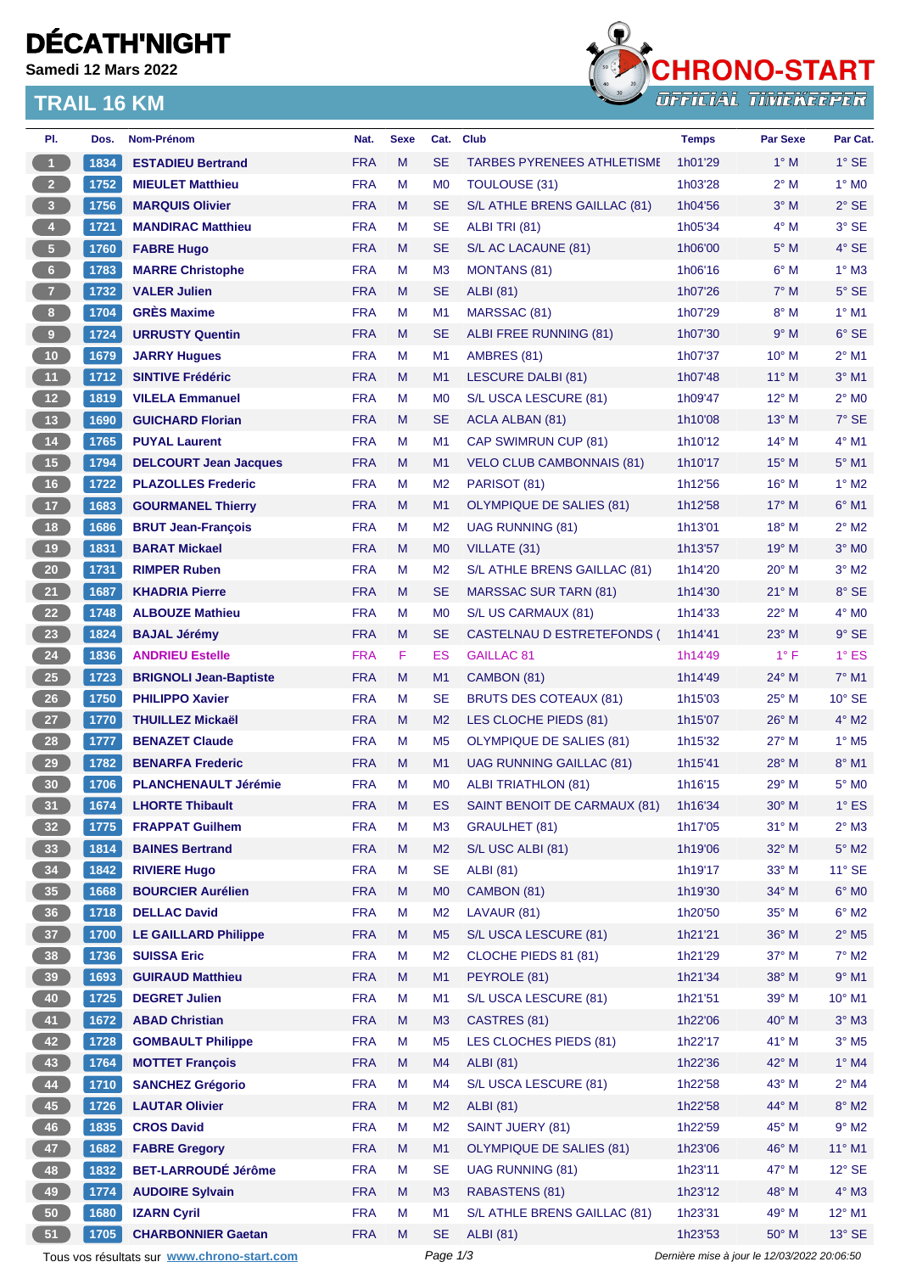# **DÉCATH'NIGHT**

**Samedi 12 Mars 2022**

### **TRAIL 16 KM**



| PI.                                                                                                    | Dos. | Nom-Prénom                                         | Nat.       | <b>Sexe</b> | Cat.           | <b>Club</b>                       | <b>Temps</b>       | <b>Par Sexe</b> | Par Cat.                 |
|--------------------------------------------------------------------------------------------------------|------|----------------------------------------------------|------------|-------------|----------------|-----------------------------------|--------------------|-----------------|--------------------------|
| $\blacksquare$                                                                                         | 1834 | <b>ESTADIEU Bertrand</b>                           | <b>FRA</b> | M           | <b>SE</b>      | <b>TARBES PYRENEES ATHLETISME</b> | 1h01'29            | $1^\circ$ M     | $1^\circ$ SE             |
| 2 <sup>7</sup>                                                                                         | 1752 | <b>MIEULET Matthieu</b>                            | <b>FRA</b> | М           | M <sub>0</sub> | TOULOUSE (31)                     | 1h03'28            | $2^{\circ}$ M   | $1^\circ$ MO             |
| $\overline{\mathbf{3}}$                                                                                | 1756 | <b>MARQUIS Olivier</b>                             | <b>FRA</b> | M           | <b>SE</b>      | S/L ATHLE BRENS GAILLAC (81)      | 1h04'56            | $3^\circ$ M     | $2^{\circ}$ SE           |
| $\overline{4}$                                                                                         | 1721 | <b>MANDIRAC Matthieu</b>                           | <b>FRA</b> | M           | <b>SE</b>      | ALBI TRI (81)                     | 1h05'34            | $4^\circ$ M     | 3° SE                    |
| 5 <sub>1</sub>                                                                                         | 1760 | <b>FABRE Hugo</b>                                  | <b>FRA</b> | M           | <b>SE</b>      | S/L AC LACAUNE (81)               | 1h06'00            | $5^\circ$ M     | $4^\circ$ SE             |
| 6 <sup>1</sup>                                                                                         | 1783 | <b>MARRE Christophe</b>                            | <b>FRA</b> | M           | M <sub>3</sub> | <b>MONTANS (81)</b>               | 1h06'16            | $6^\circ$ M     | $1^\circ$ M3             |
| 7 <sup>2</sup>                                                                                         | 1732 | <b>VALER Julien</b>                                | <b>FRA</b> | M           | <b>SE</b>      | <b>ALBI</b> (81)                  | 1h07'26            | $7^\circ$ M     | $5^\circ$ SE             |
| 8 <sub>1</sub>                                                                                         | 1704 | <b>GRÈS Maxime</b>                                 | <b>FRA</b> | M           | M1             | MARSSAC (81)                      | 1h07'29            | $8^\circ$ M     | $1^\circ$ M1             |
| $\boldsymbol{9}$                                                                                       | 1724 | <b>URRUSTY Quentin</b>                             | <b>FRA</b> | M           | <b>SE</b>      | ALBI FREE RUNNING (81)            | 1h07'30            | 9° M            | $6°$ SE                  |
| 10                                                                                                     | 1679 | <b>JARRY Hugues</b>                                | <b>FRA</b> | М           | M1             | AMBRES (81)                       | 1h07'37            | $10^{\circ}$ M  | $2^{\circ}$ M1           |
| 11                                                                                                     | 1712 | <b>SINTIVE Frédéric</b>                            | <b>FRA</b> | M           | M1             | <b>LESCURE DALBI (81)</b>         | 1h07'48            | $11^{\circ}$ M  | $3°$ M1                  |
| $12$                                                                                                   | 1819 | <b>VILELA Emmanuel</b>                             | <b>FRA</b> | M           | M <sub>0</sub> | S/L USCA LESCURE (81)             | 1h09'47            | $12^{\circ}$ M  | $2^{\circ}$ MO           |
| 13                                                                                                     | 1690 | <b>GUICHARD Florian</b>                            | <b>FRA</b> | M           | <b>SE</b>      | ACLA ALBAN (81)                   | 1h10'08            | $13^{\circ}$ M  | $7°$ SE                  |
| $14$                                                                                                   | 1765 | <b>PUYAL Laurent</b>                               | <b>FRA</b> | М           | M <sub>1</sub> | CAP SWIMRUN CUP (81)              | 1h10'12            | $14^{\circ}$ M  | $4^{\circ}$ M1           |
| 15                                                                                                     | 1794 | <b>DELCOURT Jean Jacques</b>                       | <b>FRA</b> | M           | M1             | <b>VELO CLUB CAMBONNAIS (81)</b>  | 1h10'17            | $15^{\circ}$ M  | $5^\circ$ M1             |
| 16                                                                                                     | 1722 | <b>PLAZOLLES Frederic</b>                          | <b>FRA</b> | м           | M <sub>2</sub> | PARISOT (81)                      | 1h12'56            | $16^{\circ}$ M  | $1^\circ$ M2             |
| 17                                                                                                     | 1683 | <b>GOURMANEL Thierry</b>                           | <b>FRA</b> | M           | M1             | <b>OLYMPIQUE DE SALIES (81)</b>   | 1h12'58            | $17^{\circ}$ M  | $6^{\circ}$ M1           |
| 18                                                                                                     | 1686 | <b>BRUT Jean-François</b>                          | <b>FRA</b> | М           | M <sub>2</sub> | <b>UAG RUNNING (81)</b>           | 1h13'01            | $18^{\circ}$ M  | $2^{\circ}$ M2           |
| 19                                                                                                     | 1831 | <b>BARAT Mickael</b>                               | <b>FRA</b> | M           | M <sub>0</sub> | VILLATE (31)                      | 1h13'57            | 19° M           | $3^\circ$ MO             |
| $20\,$                                                                                                 | 1731 | <b>RIMPER Ruben</b>                                | <b>FRA</b> | М           | M <sub>2</sub> | S/L ATHLE BRENS GAILLAC (81)      | 1h14'20            | $20^{\circ}$ M  | $3°$ M2                  |
| 21                                                                                                     | 1687 | <b>KHADRIA Pierre</b>                              | <b>FRA</b> | M           | <b>SE</b>      | <b>MARSSAC SUR TARN (81)</b>      | 1h14'30            | $21^{\circ}$ M  | 8° SE                    |
| 22                                                                                                     | 1748 | <b>ALBOUZE Mathieu</b>                             | <b>FRA</b> | М           | M <sub>0</sub> | S/L US CARMAUX (81)               | 1h14'33            | $22^{\circ}$ M  | $4^\circ$ MO             |
| 23                                                                                                     | 1824 | <b>BAJAL Jérémy</b>                                | <b>FRA</b> | M           | <b>SE</b>      | CASTELNAU D ESTRETEFONDS (        | 1h14'41            | $23^\circ$ M    | $9°$ SE                  |
| 24                                                                                                     | 1836 | <b>ANDRIEU Estelle</b>                             | <b>FRA</b> | F.          | ES             | GAILLAC <sub>81</sub>             | 1h14'49            | $1^{\circ}$ F   | $1^\circ$ ES             |
| $25\,$                                                                                                 | 1723 | <b>BRIGNOLI Jean-Baptiste</b>                      | <b>FRA</b> | M           | M1             | CAMBON (81)                       | 1h14'49            | 24° M           | $7^\circ$ M1             |
| 26                                                                                                     | 1750 | <b>PHILIPPO Xavier</b>                             | <b>FRA</b> | M           | <b>SE</b>      | <b>BRUTS DES COTEAUX (81)</b>     | 1h15'03            | 25° M           | $10^{\circ}$ SE          |
| 27                                                                                                     | 1770 | <b>THUILLEZ Mickaël</b>                            | <b>FRA</b> | M           | M <sub>2</sub> | LES CLOCHE PIEDS (81)             | 1h15'07            | $26^{\circ}$ M  | $4^\circ$ M2             |
| 28                                                                                                     | 1777 | <b>BENAZET Claude</b>                              | <b>FRA</b> | М           | M <sub>5</sub> | <b>OLYMPIQUE DE SALIES (81)</b>   | 1h15'32            | $27^\circ$ M    | $1^\circ$ M <sub>5</sub> |
| 29                                                                                                     | 1782 | <b>BENARFA Frederic</b>                            | <b>FRA</b> | M           | M1             | <b>UAG RUNNING GAILLAC (81)</b>   | 1h15'41            | $28^{\circ}$ M  | $8^\circ$ M1             |
| 30                                                                                                     | 1706 | <b>PLANCHENAULT Jérémie</b>                        | <b>FRA</b> | M           | M <sub>0</sub> | <b>ALBI TRIATHLON (81)</b>        | 1h16'15            | 29° M           | 5° MO                    |
| 31                                                                                                     | 1674 | <b>LHORTE Thibault</b>                             | <b>FRA</b> | M           | ES             | SAINT BENOIT DE CARMAUX (81)      | 1h16'34            | 30° M           | $1^\circ$ ES             |
| 32 <sup>°</sup>                                                                                        | 1775 | <b>FRAPPAT Guilhem</b>                             | <b>FRA</b> | M           | M <sub>3</sub> | <b>GRAULHET (81)</b>              | 1h17'05            | $31°$ M         | $2^{\circ}$ M3           |
| 33                                                                                                     | 1814 | <b>BAINES Bertrand</b>                             | <b>FRA</b> | M           | M <sub>2</sub> | S/L USC ALBI (81)                 | 1h19'06            | 32° M           | $5^\circ$ M2             |
| 34                                                                                                     | 1842 | <b>RIVIERE Hugo</b>                                | <b>FRA</b> | М           | <b>SE</b>      | <b>ALBI</b> (81)                  | 1h19'17            | $33^\circ$ M    | $11^{\circ}$ SE          |
| 35 <sub>o</sub>                                                                                        | 1668 | <b>BOURCIER Aurélien</b>                           | <b>FRA</b> | M           | M <sub>0</sub> | CAMBON (81)                       | 1h19'30            | 34° M           | $6^\circ$ MO             |
| 36 <sup>°</sup>                                                                                        | 1718 | <b>DELLAC David</b>                                | <b>FRA</b> | M           | M <sub>2</sub> | LAVAUR (81)                       | 1h20'50            | 35° M           | $6^\circ$ M2             |
| 37 <sup>°</sup>                                                                                        | 1700 | <b>LE GAILLARD Philippe</b>                        | <b>FRA</b> | M           | M <sub>5</sub> | S/L USCA LESCURE (81)             | 1h21'21            | 36° M           | $2^{\circ}$ M5           |
| 38                                                                                                     | 1736 | <b>SUISSA Eric</b>                                 | <b>FRA</b> | М           | M <sub>2</sub> | CLOCHE PIEDS 81 (81)              | 1h21'29            | 37° M           | $7^\circ$ M2             |
| 39                                                                                                     | 1693 | <b>GUIRAUD Matthieu</b>                            | <b>FRA</b> | M           | M1             | PEYROLE (81)                      | 1h21'34            | 38° M           | $9°$ M1                  |
| 40                                                                                                     | 1725 | <b>DEGRET Julien</b>                               | <b>FRA</b> | М           | M1             | S/L USCA LESCURE (81)             | 1h21'51            | 39° M           | 10° M1                   |
| 41                                                                                                     | 1672 | <b>ABAD Christian</b>                              | <b>FRA</b> | M           | M3             | CASTRES (81)                      | 1h22'06            | 40° M           | $3^\circ$ M3             |
| 42                                                                                                     | 1728 | <b>GOMBAULT Philippe</b>                           | <b>FRA</b> | М           | M <sub>5</sub> | LES CLOCHES PIEDS (81)            | 1h22'17            | 41° M           | $3^\circ$ M5             |
| 43                                                                                                     | 1764 | <b>MOTTET François</b>                             | <b>FRA</b> | M           | M4             | <b>ALBI</b> (81)                  | 1h22'36            | 42° M           | 1° M4                    |
| 44                                                                                                     | 1710 | <b>SANCHEZ Grégorio</b>                            | <b>FRA</b> | M           | M4             | S/L USCA LESCURE (81)             |                    | 43° M           | $2^{\circ}$ M4           |
| 45                                                                                                     | 1726 | <b>LAUTAR Olivier</b>                              | <b>FRA</b> | M           | M <sub>2</sub> | <b>ALBI</b> (81)                  | 1h22'58<br>1h22'58 | 44° M           | $8^\circ$ M2             |
|                                                                                                        |      | <b>CROS David</b>                                  | <b>FRA</b> | M           | M <sub>2</sub> | SAINT JUERY (81)                  | 1h22'59            | 45° M           | $9^\circ$ M2             |
| 46                                                                                                     | 1835 |                                                    |            |             |                |                                   |                    |                 |                          |
| 47                                                                                                     | 1682 | <b>FABRE Gregory</b><br><b>BET-LARROUDÉ Jérôme</b> | <b>FRA</b> | M           | M1             | <b>OLYMPIQUE DE SALIES (81)</b>   | 1h23'06            | 46° M           | $11^{\circ}$ M1          |
| 48                                                                                                     | 1832 |                                                    | <b>FRA</b> | M           | <b>SE</b>      | <b>UAG RUNNING (81)</b>           | 1h23'11            | 47° M           | $12^{\circ}$ SE          |
| 49                                                                                                     | 1774 | <b>AUDOIRE Sylvain</b>                             | <b>FRA</b> | M           | M <sub>3</sub> | RABASTENS (81)                    | 1h23'12            | 48° M           | $4^\circ$ M3             |
| 50                                                                                                     | 1680 | <b>IZARN Cyril</b>                                 | <b>FRA</b> | М           | M <sub>1</sub> | S/L ATHLE BRENS GAILLAC (81)      | 1h23'31            | 49° M           | 12° M1                   |
| 51                                                                                                     | 1705 | <b>CHARBONNIER Gaetan</b>                          | <b>FRA</b> | M           | <b>SE</b>      | <b>ALBI</b> (81)                  | 1h23'53            | 50° M           | 13° SE                   |
| Page 1/3<br>Dernière mise à jour le 12/03/2022 20:06:50<br>Tous vos résultats sur www.chrono-start.com |      |                                                    |            |             |                |                                   |                    |                 |                          |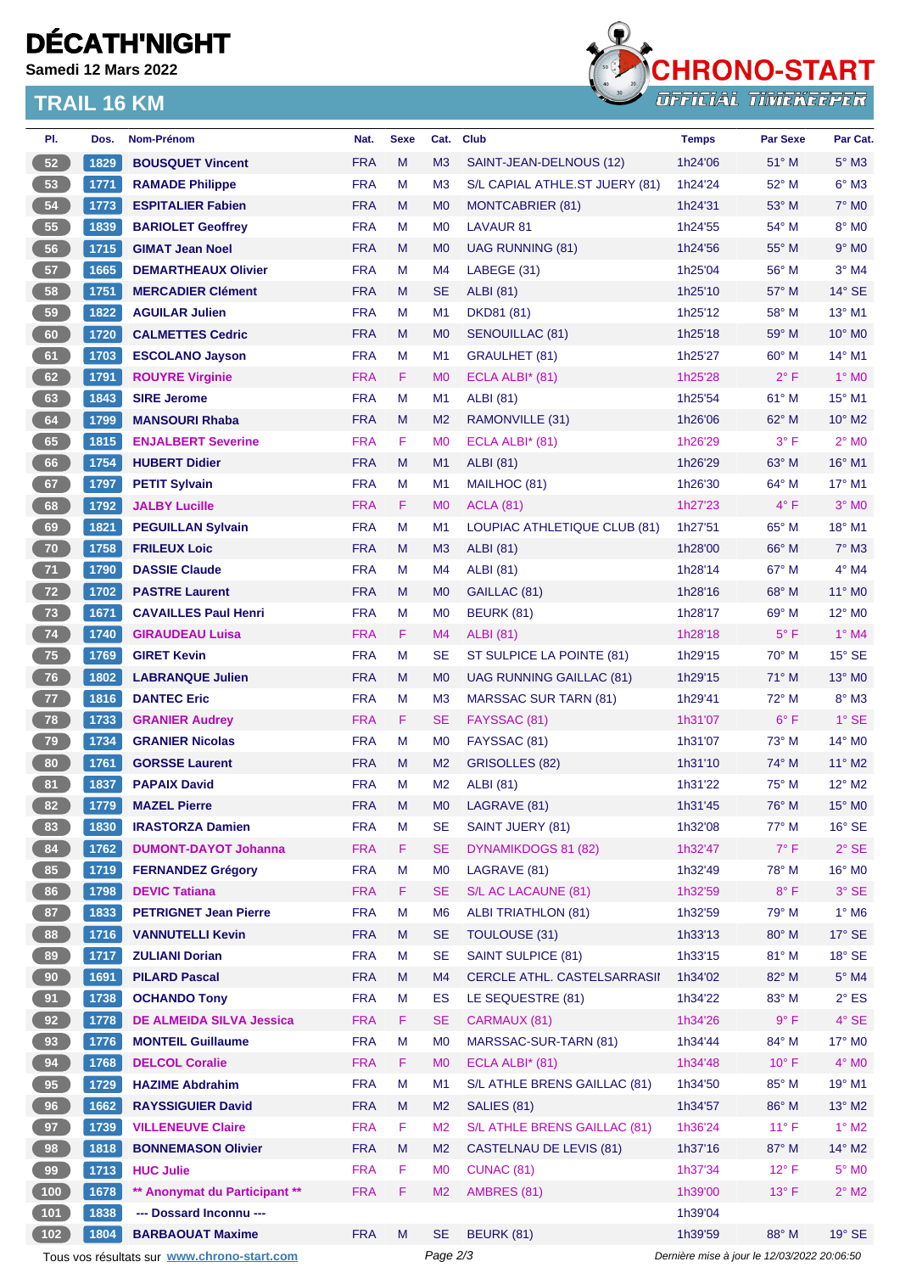# **DÉCATH'NIGHT**

**Samedi 12 Mars 2022**

### **TRAIL 16 KM**



| PI.                                                                                                    | Dos.         | <b>Nom-Prénom</b>                             | Nat.                     | <b>Sexe</b> | Cat.            | <b>Club</b>                         | <b>Temps</b>       | <b>Par Sexe</b>        | Par Cat.                       |
|--------------------------------------------------------------------------------------------------------|--------------|-----------------------------------------------|--------------------------|-------------|-----------------|-------------------------------------|--------------------|------------------------|--------------------------------|
| 52                                                                                                     | 1829         | <b>BOUSQUET Vincent</b>                       | <b>FRA</b>               | M           | M <sub>3</sub>  | SAINT-JEAN-DELNOUS (12)             | 1h24'06            | 51° M                  | $5^\circ$ M3                   |
| 53                                                                                                     | 1771         | <b>RAMADE Philippe</b>                        | <b>FRA</b>               | М           | M <sub>3</sub>  | S/L CAPIAL ATHLE.ST JUERY (81)      | 1h24'24            | 52° M                  | $6^\circ$ M3                   |
| 54                                                                                                     | 1773         | <b>ESPITALIER Fabien</b>                      | <b>FRA</b>               | M           | M <sub>0</sub>  | <b>MONTCABRIER (81)</b>             | 1h24'31            | $53^\circ$ M           | $7^\circ$ MO                   |
| 55                                                                                                     | 1839         | <b>BARIOLET Geoffrey</b>                      | <b>FRA</b>               | М           | M <sub>0</sub>  | <b>LAVAUR 81</b>                    | 1h24'55            | 54° M                  | 8° MO                          |
| 56                                                                                                     | 1715         | <b>GIMAT Jean Noel</b>                        | <b>FRA</b>               | M           | M <sub>0</sub>  | UAG RUNNING (81)                    | 1h24'56            | 55° M                  | $9°$ MO                        |
| 57                                                                                                     | 1665         | <b>DEMARTHEAUX Olivier</b>                    | <b>FRA</b>               | М           | M4              | LABEGE (31)                         | 1h25'04            | 56° M                  | $3°$ M4                        |
| 58                                                                                                     | 1751         | <b>MERCADIER Clément</b>                      | <b>FRA</b>               | M           | <b>SE</b>       | <b>ALBI (81)</b>                    | 1h25'10            | 57° M                  | $14^{\circ}$ SE                |
| 59                                                                                                     | 1822         | <b>AGUILAR Julien</b>                         | <b>FRA</b>               | М           | M1              | DKD81 (81)                          | 1h25'12            | $58^{\circ}$ M         | 13° M1                         |
| 60                                                                                                     | 1720         | <b>CALMETTES Cedric</b>                       | <b>FRA</b>               | M           | M <sub>0</sub>  | <b>SENOUILLAC (81)</b>              | 1h25'18            | 59° M                  | 10° MO                         |
| 61                                                                                                     | 1703         | <b>ESCOLANO Jayson</b>                        | <b>FRA</b>               | М           | M1              | <b>GRAULHET (81)</b>                | 1h25'27            | $60^\circ$ M           | $14^{\circ}$ M1                |
| 62                                                                                                     | 1791         | <b>ROUYRE Virginie</b>                        | <b>FRA</b>               | F.          | M <sub>0</sub>  | ECLA ALBI* (81)                     | 1h25'28            | $2^{\circ}$ F          | $1^\circ$ MO                   |
| 63                                                                                                     | 1843         | <b>SIRE Jerome</b>                            | <b>FRA</b>               | М           | M1              | <b>ALBI</b> (81)                    | 1h25'54            | 61° M                  | 15° M1                         |
| 64                                                                                                     | 1799         | <b>MANSOURI Rhaba</b>                         | <b>FRA</b>               | M           | M <sub>2</sub>  | RAMONVILLE (31)                     | 1h26'06            | 62° M                  | $10^{\circ}$ M2                |
| 65                                                                                                     | 1815         | <b>ENJALBERT Severine</b>                     | <b>FRA</b>               | F.          | M <sub>0</sub>  | ECLA ALBI $*$ (81)                  | 1h26'29            | $3^{\circ}$ F          | $2^{\circ}$ MO                 |
| 66                                                                                                     | 1754         | <b>HUBERT Didier</b>                          | <b>FRA</b>               | M           | M1              | <b>ALBI</b> (81)                    | 1h26'29            | 63° M                  | 16° M1                         |
| 67                                                                                                     | 1797         | <b>PETIT Sylvain</b>                          | <b>FRA</b>               | М           | M1              | MAILHOC (81)                        | 1h26'30            | 64° M                  | 17° M1                         |
| 68                                                                                                     | 1792         | <b>JALBY Lucille</b>                          | <b>FRA</b>               | F           | M <sub>0</sub>  | <b>ACLA (81)</b>                    | 1h27'23            | $4^{\circ}$ F          | $3°$ MO                        |
| 69                                                                                                     | 1821         | <b>PEGUILLAN Sylvain</b>                      | <b>FRA</b>               | М           | M1              | <b>LOUPIAC ATHLETIQUE CLUB (81)</b> | 1h27'51            | $65^{\circ}$ M         | $18^{\circ}$ M1                |
| 70                                                                                                     | 1758         | <b>FRILEUX Loic</b>                           | <b>FRA</b>               | M           | M <sub>3</sub>  | <b>ALBI</b> (81)                    | 1h28'00            | 66° M                  | $7^\circ$ M3                   |
| 71                                                                                                     | 1790         | <b>DASSIE Claude</b>                          | <b>FRA</b>               | М           | M4              | ALBI (81)                           | 1h28'14            | 67° M                  | $4^\circ$ M4                   |
| 72                                                                                                     | 1702         | <b>PASTRE Laurent</b>                         | <b>FRA</b>               | M           | M <sub>0</sub>  | GAILLAC (81)                        | 1h28'16            | $68^\circ$ M           | 11° MO                         |
| 73                                                                                                     | 1671         | <b>CAVAILLES Paul Henri</b>                   | <b>FRA</b>               | М           | M <sub>0</sub>  | <b>BEURK (81)</b>                   | 1h28'17            | 69° M                  | 12° M <sub>0</sub>             |
| 74                                                                                                     | 1740         | <b>GIRAUDEAU Luisa</b>                        | <b>FRA</b>               | F.          | M4              | <b>ALBI</b> (81)                    | 1h28'18            | $5^{\circ}$ F          | $1°$ M4                        |
| 75                                                                                                     | 1769         | <b>GIRET Kevin</b>                            | <b>FRA</b>               | М           | <b>SE</b>       | ST SULPICE LA POINTE (81)           | 1h29'15            | 70° M                  | $15^\circ$ SE                  |
| 76                                                                                                     | 1802         | <b>LABRANQUE Julien</b>                       | <b>FRA</b>               | M           | M <sub>0</sub>  | UAG RUNNING GAILLAC (81)            | 1h29'15            | 71° M                  | $13^\circ$ MO                  |
| 77                                                                                                     | 1816         | <b>DANTEC Eric</b>                            | <b>FRA</b>               | М           | M <sub>3</sub>  | <b>MARSSAC SUR TARN (81)</b>        | 1h29'41            | 72° M                  | $8^\circ$ M3                   |
| 78                                                                                                     | 1733         | <b>GRANIER Audrey</b>                         | <b>FRA</b>               | F.          | <b>SE</b>       | FAYSSAC (81)                        | 1h31'07            | $6^{\circ}$ F          | $1°$ SE                        |
| 79                                                                                                     | 1734         | <b>GRANIER Nicolas</b>                        | <b>FRA</b>               | М           | M <sub>0</sub>  | FAYSSAC (81)                        | 1h31'07            | 73° M                  | 14° M0                         |
| 80                                                                                                     | 1761         | <b>GORSSE Laurent</b>                         | <b>FRA</b>               | M           | M <sub>2</sub>  | <b>GRISOLLES (82)</b>               | 1h31'10            | $74^\circ$ M           | $11^{\circ}$ M2                |
| 81                                                                                                     | 1837         | <b>PAPAIX David</b>                           | <b>FRA</b>               | M           | M <sub>2</sub>  | <b>ALBI</b> (81)                    | 1h31'22            | $75^{\circ}$ M         | $12^{\circ}$ M2                |
| 82                                                                                                     | 1779         | <b>MAZEL Pierre</b>                           | <b>FRA</b>               | M           | M <sub>0</sub>  | LAGRAVE (81)                        | 1h31'45            | $76^{\circ}$ M         | $15^\circ$ MO                  |
| 83                                                                                                     | 1830         | <b>IRASTORZA Damien</b>                       | <b>FRA</b>               | M           | SE              | SAINT JUERY (81)                    | 1h32'08            | 77° M                  | $16^\circ$ SE                  |
| 84                                                                                                     | 1762         | <b>DUMONT-DAYOT Johanna</b>                   | <b>FRA</b>               | F           | <b>SE</b>       | DYNAMIKDOGS 81 (82)                 | 1h32'47            | $7^\circ$ F            | $2°$ SE                        |
| 85                                                                                                     | 1719         | <b>FERNANDEZ Grégory</b>                      | <b>FRA</b>               | M           | M <sub>0</sub>  | LAGRAVE (81)                        | 1h32'49            | $78^\circ$ M           | 16° MO                         |
| 86                                                                                                     | 1798         | <b>DEVIC Tatiana</b>                          | <b>FRA</b>               | F.          | <b>SE</b>       | S/L AC LACAUNE (81)                 | 1h32'59            | $8^{\circ}$ F          | $3^{\circ}$ SE                 |
| 87                                                                                                     | 1833         | <b>PETRIGNET Jean Pierre</b>                  | <b>FRA</b>               | M           | M <sub>6</sub>  | <b>ALBI TRIATHLON (81)</b>          | 1h32'59            | 79° M                  | $1^\circ$ M6                   |
| 88                                                                                                     |              | <b>VANNUTELLI Kevin</b>                       | <b>FRA</b>               | M           | <b>SE</b>       | <b>TOULOUSE (31)</b>                |                    |                        |                                |
|                                                                                                        | 1716         |                                               | <b>FRA</b>               |             | <b>SE</b>       | <b>SAINT SULPICE (81)</b>           | 1h33'13<br>1h33'15 | 80° M<br>81° M         | $17^\circ$ SE<br>$18^\circ$ SE |
| 89<br>90                                                                                               | 1717<br>1691 | <b>ZULIANI Dorian</b><br><b>PILARD Pascal</b> | <b>FRA</b>               | M<br>M      | M4              | CERCLE ATHL. CASTELSARRASII         | 1h34'02            | 82° M                  | $5^\circ$ M4                   |
|                                                                                                        |              | <b>OCHANDO Tony</b>                           |                          |             |                 |                                     |                    |                        |                                |
| 91                                                                                                     | 1738         |                                               | <b>FRA</b><br><b>FRA</b> | M           | ES<br><b>SE</b> | LE SEQUESTRE (81)<br>CARMAUX (81)   | 1h34'22            | 83° M<br>$9^{\circ}$ F | $2^{\circ}$ ES<br>$4^\circ$ SE |
| 92                                                                                                     | 1778         | <b>DE ALMEIDA SILVA Jessica</b>               |                          | F.          |                 |                                     | 1h34'26            |                        |                                |
| 93                                                                                                     | 1776         | <b>MONTEIL Guillaume</b>                      | <b>FRA</b>               | M           | M <sub>0</sub>  | MARSSAC-SUR-TARN (81)               | 1h34'44            | 84° M                  | 17° M0                         |
| 94                                                                                                     | 1768         | <b>DELCOL Coralie</b>                         | <b>FRA</b>               | F.          | MO              | ECLA ALBI* (81)                     | 1h34'48            | $10^{\circ}$ F         | $4^\circ$ MO                   |
| 95                                                                                                     | 1729         | <b>HAZIME Abdrahim</b>                        | <b>FRA</b>               | M           | M1              | S/L ATHLE BRENS GAILLAC (81)        | 1h34'50            | 85° M                  | 19° M1                         |
| 96                                                                                                     | 1662         | <b>RAYSSIGUIER David</b>                      | <b>FRA</b>               | M           | M <sub>2</sub>  | SALIES (81)                         | 1h34'57            | 86° M                  | 13° M2                         |
| 97                                                                                                     | 1739         | <b>VILLENEUVE Claire</b>                      | <b>FRA</b>               | F.          | M <sub>2</sub>  | S/L ATHLE BRENS GAILLAC (81)        | 1h36'24            | $11^{\circ}$ F         | $1^\circ$ M2                   |
| 98                                                                                                     | 1818         | <b>BONNEMASON Olivier</b>                     | <b>FRA</b>               | M           | M <sub>2</sub>  | <b>CASTELNAU DE LEVIS (81)</b>      | 1h37'16            | 87° M                  | $14^{\circ}$ M2                |
| 99                                                                                                     | 1713         | <b>HUC Julie</b>                              | <b>FRA</b>               | F.          | M <sub>0</sub>  | <b>CUNAC (81)</b>                   | 1h37'34            | $12^{\circ}$ F         | $5^\circ$ MO                   |
| 100                                                                                                    | 1678         | ** Anonymat du Participant **                 | <b>FRA</b>               | F.          | M <sub>2</sub>  | AMBRES (81)                         | 1h39'00            | $13^{\circ}$ F         | $2^{\circ}$ M2                 |
| $101$                                                                                                  | 1838         | --- Dossard Inconnu ---                       |                          |             |                 |                                     | 1h39'04            |                        |                                |
| 102                                                                                                    | 1804         | <b>BARBAOUAT Maxime</b>                       | <b>FRA</b>               | ${\sf M}$   | <b>SE</b>       | BEURK (81)                          | 1h39'59            | 88° M                  | $19°$ SE                       |
| Tous vos résultats sur www.chrono-start.com<br>Page 2/3<br>Dernière mise à jour le 12/03/2022 20:06:50 |              |                                               |                          |             |                 |                                     |                    |                        |                                |